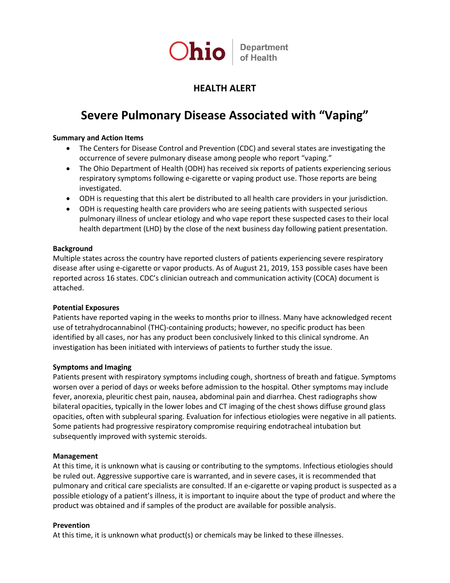

# **HEALTH ALERT**

# **Severe Pulmonary Disease Associated with "Vaping"**

## **Summary and Action Items**

- The Centers for Disease Control and Prevention (CDC) and several states are investigating the occurrence of severe pulmonary disease among people who report "vaping."
- The Ohio Department of Health (ODH) has received six reports of patients experiencing serious respiratory symptoms following e-cigarette or vaping product use. Those reports are being investigated.
- ODH is requesting that this alert be distributed to all health care providers in your jurisdiction.
- ODH is requesting health care providers who are seeing patients with suspected serious pulmonary illness of unclear etiology and who vape report these suspected cases to their local health department (LHD) by the close of the next business day following patient presentation.

#### **Background**

Multiple states across the country have reported clusters of patients experiencing severe respiratory disease after using e-cigarette or vapor products. As of August 21, 2019, 153 possible cases have been reported across 16 states. CDC's clinician outreach and communication activity (COCA) document is attached.

# **Potential Exposures**

Patients have reported vaping in the weeks to months prior to illness. Many have acknowledged recent use of tetrahydrocannabinol (THC)-containing products; however, no specific product has been identified by all cases, nor has any product been conclusively linked to this clinical syndrome. An investigation has been initiated with interviews of patients to further study the issue.

# **Symptoms and Imaging**

Patients present with respiratory symptoms including cough, shortness of breath and fatigue. Symptoms worsen over a period of days or weeks before admission to the hospital. Other symptoms may include fever, anorexia, pleuritic chest pain, nausea, abdominal pain and diarrhea. Chest radiographs show bilateral opacities, typically in the lower lobes and CT imaging of the chest shows diffuse ground glass opacities, often with subpleural sparing. Evaluation for infectious etiologies were negative in all patients. Some patients had progressive respiratory compromise requiring endotracheal intubation but subsequently improved with systemic steroids.

#### **Management**

At this time, it is unknown what is causing or contributing to the symptoms. Infectious etiologies should be ruled out. Aggressive supportive care is warranted, and in severe cases, it is recommended that pulmonary and critical care specialists are consulted. If an e-cigarette or vaping product is suspected as a possible etiology of a patient's illness, it is important to inquire about the type of product and where the product was obtained and if samples of the product are available for possible analysis.

# **Prevention**

At this time, it is unknown what product(s) or chemicals may be linked to these illnesses.